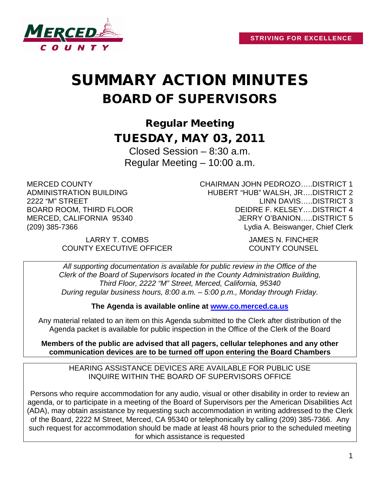

# SUMMARY ACTION MINUTES BOARD OF SUPERVISORS

Regular Meeting TUESDAY, MAY 03, 2011

Closed Session – 8:30 a.m. Regular Meeting – 10:00 a.m.

MERCED COUNTY ADMINISTRATION BUILDING 2222 "M" STREET BOARD ROOM, THIRD FLOOR MERCED, CALIFORNIA 95340 (209) 385-7366

CHAIRMAN JOHN PEDROZO…..DISTRICT 1 HUBERT "HUB" WALSH, JR….DISTRICT 2 LINN DAVIS…..DISTRICT 3 DEIDRE F. KELSEY….DISTRICT 4 JERRY O'BANION…..DISTRICT 5 Lydia A. Beiswanger, Chief Clerk

LARRY T. COMBS JAMES N. FINCHER COUNTY EXECUTIVE OFFICER COUNTY COUNSEL

*All supporting documentation is available for public review in the Office of the Clerk of the Board of Supervisors located in the County Administration Building, Third Floor, 2222 "M" Street, Merced, California, 95340 During regular business hours, 8:00 a.m. – 5:00 p.m., Monday through Friday.*

**The Agenda is available online at [www.co.merced.ca.us](http://www.co.merced.ca.us/)**

Any material related to an item on this Agenda submitted to the Clerk after distribution of the Agenda packet is available for public inspection in the Office of the Clerk of the Board

**Members of the public are advised that all pagers, cellular telephones and any other communication devices are to be turned off upon entering the Board Chambers**

HEARING ASSISTANCE DEVICES ARE AVAILABLE FOR PUBLIC USE INQUIRE WITHIN THE BOARD OF SUPERVISORS OFFICE

Persons who require accommodation for any audio, visual or other disability in order to review an agenda, or to participate in a meeting of the Board of Supervisors per the American Disabilities Act (ADA), may obtain assistance by requesting such accommodation in writing addressed to the Clerk of the Board, 2222 M Street, Merced, CA 95340 or telephonically by calling (209) 385-7366. Any such request for accommodation should be made at least 48 hours prior to the scheduled meeting for which assistance is requested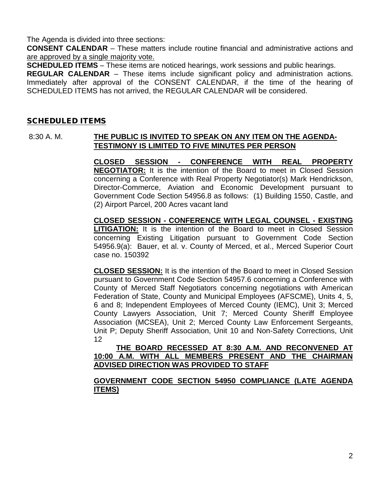The Agenda is divided into three sections:

**CONSENT CALENDAR** – These matters include routine financial and administrative actions and are approved by a single majority vote.

**SCHEDULED ITEMS** – These items are noticed hearings, work sessions and public hearings.

**REGULAR CALENDAR** – These items include significant policy and administration actions. Immediately after approval of the CONSENT CALENDAR, if the time of the hearing of SCHEDULED ITEMS has not arrived, the REGULAR CALENDAR will be considered.

## SCHEDULED ITEMS

#### 8:30 A. M. **THE PUBLIC IS INVITED TO SPEAK ON ANY ITEM ON THE AGENDA-TESTIMONY IS LIMITED TO FIVE MINUTES PER PERSON**

**CLOSED SESSION - CONFERENCE WITH REAL PROPERTY NEGOTIATOR:** It is the intention of the Board to meet in Closed Session concerning a Conference with Real Property Negotiator(s) Mark Hendrickson, Director-Commerce, Aviation and Economic Development pursuant to Government Code Section 54956.8 as follows: (1) Building 1550, Castle, and (2) Airport Parcel, 200 Acres vacant land

**CLOSED SESSION - CONFERENCE WITH LEGAL COUNSEL - EXISTING LITIGATION:** It is the intention of the Board to meet in Closed Session concerning Existing Litigation pursuant to Government Code Section 54956.9(a): Bauer, et al. v. County of Merced, et al., Merced Superior Court case no. 150392

**CLOSED SESSION:** It is the intention of the Board to meet in Closed Session pursuant to Government Code Section 54957.6 concerning a Conference with County of Merced Staff Negotiators concerning negotiations with American Federation of State, County and Municipal Employees (AFSCME), Units 4, 5, 6 and 8; Independent Employees of Merced County (IEMC), Unit 3; Merced County Lawyers Association, Unit 7; Merced County Sheriff Employee Association (MCSEA), Unit 2; Merced County Law Enforcement Sergeants, Unit P; Deputy Sheriff Association, Unit 10 and Non-Safety Corrections, Unit 12

#### **THE BOARD RECESSED AT 8:30 A.M. AND RECONVENED AT 10:00 A.M. WITH ALL MEMBERS PRESENT AND THE CHAIRMAN ADVISED DIRECTION WAS PROVIDED TO STAFF**

## **GOVERNMENT CODE SECTION 54950 COMPLIANCE (LATE AGENDA ITEMS)**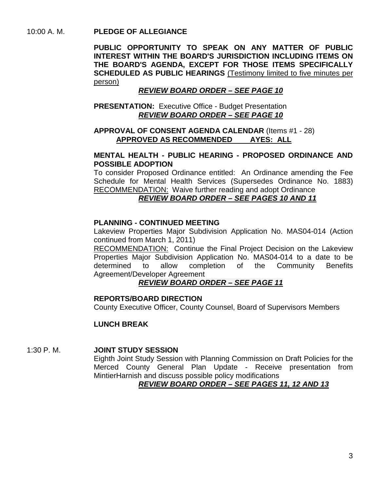## 10:00 A. M. **PLEDGE OF ALLEGIANCE**

**PUBLIC OPPORTUNITY TO SPEAK ON ANY MATTER OF PUBLIC INTEREST WITHIN THE BOARD'S JURISDICTION INCLUDING ITEMS ON THE BOARD'S AGENDA, EXCEPT FOR THOSE ITEMS SPECIFICALLY SCHEDULED AS PUBLIC HEARINGS** (Testimony limited to five minutes per person)

## *REVIEW BOARD ORDER – SEE PAGE 10*

**PRESENTATION:** Executive Office - Budget Presentation *REVIEW BOARD ORDER – SEE PAGE 10*

## **APPROVAL OF CONSENT AGENDA CALENDAR** (Items #1 - 28) **APPROVED AS RECOMMENDED AYES: ALL**

## **MENTAL HEALTH - PUBLIC HEARING - PROPOSED ORDINANCE AND POSSIBLE ADOPTION**

To consider Proposed Ordinance entitled: An Ordinance amending the Fee Schedule for Mental Health Services (Supersedes Ordinance No. 1883) RECOMMENDATION: Waive further reading and adopt Ordinance

#### *REVIEW BOARD ORDER – SEE PAGES 10 AND 11*

## **PLANNING - CONTINUED MEETING**

Lakeview Properties Major Subdivision Application No. MAS04-014 (Action continued from March 1, 2011)

RECOMMENDATION: Continue the Final Project Decision on the Lakeview Properties Major Subdivision Application No. MAS04-014 to a date to be determined to allow completion of the Community Benefits Agreement/Developer Agreement

# *REVIEW BOARD ORDER – SEE PAGE 11*

## **REPORTS/BOARD DIRECTION**

County Executive Officer, County Counsel, Board of Supervisors Members

# **LUNCH BREAK**

#### 1:30 P. M. **JOINT STUDY SESSION**

Eighth Joint Study Session with Planning Commission on Draft Policies for the Merced County General Plan Update - Receive presentation from MintierHarnish and discuss possible policy modifications

## *REVIEW BOARD ORDER – SEE PAGES 11, 12 AND 13*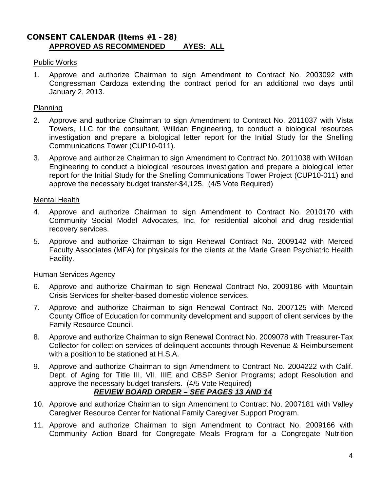# CONSENT CALENDAR (Items #1 - 28) **APPROVED AS RECOMMENDED AYES: ALL**

#### Public Works

1. Approve and authorize Chairman to sign Amendment to Contract No. 2003092 with Congressman Cardoza extending the contract period for an additional two days until January 2, 2013.

#### Planning

- 2. Approve and authorize Chairman to sign Amendment to Contract No. 2011037 with Vista Towers, LLC for the consultant, Willdan Engineering, to conduct a biological resources investigation and prepare a biological letter report for the Initial Study for the Snelling Communications Tower (CUP10-011).
- 3. Approve and authorize Chairman to sign Amendment to Contract No. 2011038 with Willdan Engineering to conduct a biological resources investigation and prepare a biological letter report for the Initial Study for the Snelling Communications Tower Project (CUP10-011) and approve the necessary budget transfer-\$4,125. (4/5 Vote Required)

#### Mental Health

- 4. Approve and authorize Chairman to sign Amendment to Contract No. 2010170 with Community Social Model Advocates, Inc. for residential alcohol and drug residential recovery services.
- 5. Approve and authorize Chairman to sign Renewal Contract No. 2009142 with Merced Faculty Associates (MFA) for physicals for the clients at the Marie Green Psychiatric Health Facility.

#### Human Services Agency

- 6. Approve and authorize Chairman to sign Renewal Contract No. 2009186 with Mountain Crisis Services for shelter-based domestic violence services.
- 7. Approve and authorize Chairman to sign Renewal Contract No. 2007125 with Merced County Office of Education for community development and support of client services by the Family Resource Council.
- 8. Approve and authorize Chairman to sign Renewal Contract No. 2009078 with Treasurer-Tax Collector for collection services of delinquent accounts through Revenue & Reimbursement with a position to be stationed at H.S.A.
- 9. Approve and authorize Chairman to sign Amendment to Contract No. 2004222 with Calif. Dept. of Aging for Title III, VII, IIIE and CBSP Senior Programs; adopt Resolution and approve the necessary budget transfers. (4/5 Vote Required)

# *REVIEW BOARD ORDER – SEE PAGES 13 AND 14*

- 10. Approve and authorize Chairman to sign Amendment to Contract No. 2007181 with Valley Caregiver Resource Center for National Family Caregiver Support Program.
- 11. Approve and authorize Chairman to sign Amendment to Contract No. 2009166 with Community Action Board for Congregate Meals Program for a Congregate Nutrition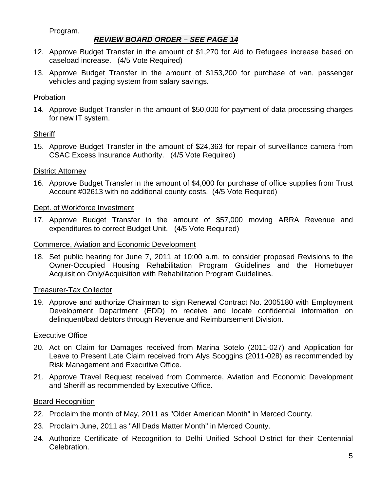## Program.

## *REVIEW BOARD ORDER – SEE PAGE 14*

- 12. Approve Budget Transfer in the amount of \$1,270 for Aid to Refugees increase based on caseload increase. (4/5 Vote Required)
- 13. Approve Budget Transfer in the amount of \$153,200 for purchase of van, passenger vehicles and paging system from salary savings.

## Probation

14. Approve Budget Transfer in the amount of \$50,000 for payment of data processing charges for new IT system.

#### **Sheriff**

15. Approve Budget Transfer in the amount of \$24,363 for repair of surveillance camera from CSAC Excess Insurance Authority. (4/5 Vote Required)

#### District Attorney

16. Approve Budget Transfer in the amount of \$4,000 for purchase of office supplies from Trust Account #02613 with no additional county costs. (4/5 Vote Required)

#### Dept. of Workforce Investment

17. Approve Budget Transfer in the amount of \$57,000 moving ARRA Revenue and expenditures to correct Budget Unit. (4/5 Vote Required)

#### Commerce, Aviation and Economic Development

18. Set public hearing for June 7, 2011 at 10:00 a.m. to consider proposed Revisions to the Owner-Occupied Housing Rehabilitation Program Guidelines and the Homebuyer Acquisition Only/Acquisition with Rehabilitation Program Guidelines.

#### Treasurer-Tax Collector

19. Approve and authorize Chairman to sign Renewal Contract No. 2005180 with Employment Development Department (EDD) to receive and locate confidential information on delinquent/bad debtors through Revenue and Reimbursement Division.

# Executive Office

- 20. Act on Claim for Damages received from Marina Sotelo (2011-027) and Application for Leave to Present Late Claim received from Alys Scoggins (2011-028) as recommended by Risk Management and Executive Office.
- 21. Approve Travel Request received from Commerce, Aviation and Economic Development and Sheriff as recommended by Executive Office.

# Board Recognition

- 22. Proclaim the month of May, 2011 as "Older American Month" in Merced County.
- 23. Proclaim June, 2011 as "All Dads Matter Month" in Merced County.
- 24. Authorize Certificate of Recognition to Delhi Unified School District for their Centennial Celebration.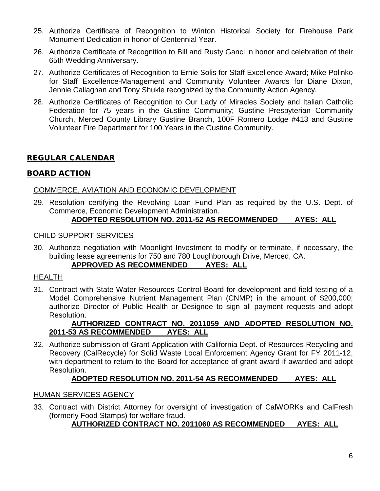- 25. Authorize Certificate of Recognition to Winton Historical Society for Firehouse Park Monument Dedication in honor of Centennial Year.
- 26. Authorize Certificate of Recognition to Bill and Rusty Ganci in honor and celebration of their 65th Wedding Anniversary.
- 27. Authorize Certificates of Recognition to Ernie Solis for Staff Excellence Award; Mike Polinko for Staff Excellence-Management and Community Volunteer Awards for Diane Dixon, Jennie Callaghan and Tony Shukle recognized by the Community Action Agency.
- 28. Authorize Certificates of Recognition to Our Lady of Miracles Society and Italian Catholic Federation for 75 years in the Gustine Community; Gustine Presbyterian Community Church, Merced County Library Gustine Branch, 100F Romero Lodge #413 and Gustine Volunteer Fire Department for 100 Years in the Gustine Community.

# REGULAR CALENDAR

## BOARD ACTION

## COMMERCE, AVIATION AND ECONOMIC DEVELOPMENT

29. Resolution certifying the Revolving Loan Fund Plan as required by the U.S. Dept. of Commerce, Economic Development Administration.

# **ADOPTED RESOLUTION NO. 2011-52 AS RECOMMENDED AYES: ALL**

#### CHILD SUPPORT SERVICES

30. Authorize negotiation with Moonlight Investment to modify or terminate, if necessary, the building lease agreements for 750 and 780 Loughborough Drive, Merced, CA. **APPROVED AS RECOMMENDED AYES: ALL**

# HEALTH

31. Contract with State Water Resources Control Board for development and field testing of a Model Comprehensive Nutrient Management Plan (CNMP) in the amount of \$200,000; authorize Director of Public Health or Designee to sign all payment requests and adopt Resolution.

## **AUTHORIZED CONTRACT NO. 2011059 AND ADOPTED RESOLUTION NO. 2011-53 AS RECOMMENDED AYES: ALL**

32. Authorize submission of Grant Application with California Dept. of Resources Recycling and Recovery (CalRecycle) for Solid Waste Local Enforcement Agency Grant for FY 2011-12, with department to return to the Board for acceptance of grant award if awarded and adopt Resolution.

#### **ADOPTED RESOLUTION NO. 2011-54 AS RECOMMENDED AYES: ALL**

#### HUMAN SERVICES AGENCY

33. Contract with District Attorney for oversight of investigation of CalWORKs and CalFresh (formerly Food Stamps) for welfare fraud.

# **AUTHORIZED CONTRACT NO. 2011060 AS RECOMMENDED AYES: ALL**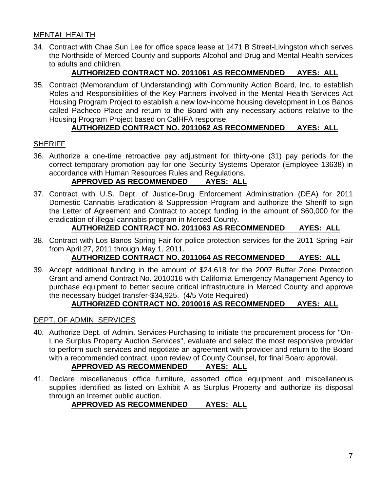# MENTAL HEALTH

34. Contract with Chae Sun Lee for office space lease at 1471 B Street-Livingston which serves the Northside of Merced County and supports Alcohol and Drug and Mental Health services to adults and children.

# **AUTHORIZED CONTRACT NO. 2011061 AS RECOMMENDED AYES: ALL**

35. Contract (Memorandum of Understanding) with Community Action Board, Inc. to establish Roles and Responsibilities of the Key Partners involved in the Mental Health Services Act Housing Program Project to establish a new low-income housing development in Los Banos called Pacheco Place and return to the Board with any necessary actions relative to the Housing Program Project based on CalHFA response.

# **AUTHORIZED CONTRACT NO. 2011062 AS RECOMMENDED AYES: ALL**

#### **SHERIFF**

36. Authorize a one-time retroactive pay adjustment for thirty-one (31) pay periods for the correct temporary promotion pay for one Security Systems Operator (Employee 13638) in accordance with Human Resources Rules and Regulations.

## **APPROVED AS RECOMMENDED AYES: ALL**

37. Contract with U.S. Dept. of Justice-Drug Enforcement Administration (DEA) for 2011 Domestic Cannabis Eradication & Suppression Program and authorize the Sheriff to sign the Letter of Agreement and Contract to accept funding in the amount of \$60,000 for the eradication of illegal cannabis program in Merced County.

# **AUTHORIZED CONTRACT NO. 2011063 AS RECOMMENDED AYES: ALL**

38. Contract with Los Banos Spring Fair for police protection services for the 2011 Spring Fair from April 27, 2011 through May 1, 2011.

# **AUTHORIZED CONTRACT NO. 2011064 AS RECOMMENDED AYES: ALL**

39. Accept additional funding in the amount of \$24,618 for the 2007 Buffer Zone Protection Grant and amend Contract No. 2010016 with California Emergency Management Agency to purchase equipment to better secure critical infrastructure in Merced County and approve the necessary budget transfer-\$34,925. (4/5 Vote Required)

# **AUTHORIZED CONTRACT NO. 2010016 AS RECOMMENDED AYES: ALL**

#### DEPT. OF ADMIN. SERVICES

40. Authorize Dept. of Admin. Services-Purchasing to initiate the procurement process for "On-Line Surplus Property Auction Services", evaluate and select the most responsive provider to perform such services and negotiate an agreement with provider and return to the Board with a recommended contract, upon review of County Counsel, for final Board approval.

#### **APPROVED AS RECOMMENDED AYES: ALL**

41. Declare miscellaneous office furniture, assorted office equipment and miscellaneous supplies identified as listed on Exhibit A as Surplus Property and authorize its disposal through an Internet public auction.

#### **APPROVED AS RECOMMENDED AYES: ALL**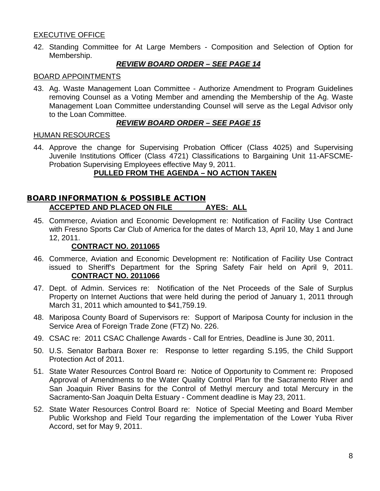# EXECUTIVE OFFICE

42. Standing Committee for At Large Members - Composition and Selection of Option for Membership.

## *REVIEW BOARD ORDER – SEE PAGE 14*

#### BOARD APPOINTMENTS

43. Ag. Waste Management Loan Committee - Authorize Amendment to Program Guidelines removing Counsel as a Voting Member and amending the Membership of the Ag. Waste Management Loan Committee understanding Counsel will serve as the Legal Advisor only to the Loan Committee.

#### *REVIEW BOARD ORDER – SEE PAGE 15*

#### HUMAN RESOURCES

44. Approve the change for Supervising Probation Officer (Class 4025) and Supervising Juvenile Institutions Officer (Class 4721) Classifications to Bargaining Unit 11-AFSCME-Probation Supervising Employees effective May 9, 2011.

# **PULLED FROM THE AGENDA – NO ACTION TAKEN**

# BOARD INFORMATION & POSSIBLE ACTION **ACCEPTED AND PLACED ON FILE AYES: ALL**

45. Commerce, Aviation and Economic Development re: Notification of Facility Use Contract with Fresno Sports Car Club of America for the dates of March 13, April 10, May 1 and June 12, 2011.

## **CONTRACT NO. 2011065**

- 46. Commerce, Aviation and Economic Development re: Notification of Facility Use Contract issued to Sheriff's Department for the Spring Safety Fair held on April 9, 2011. **CONTRACT NO. 2011066**
- 47. Dept. of Admin. Services re: Notification of the Net Proceeds of the Sale of Surplus Property on Internet Auctions that were held during the period of January 1, 2011 through March 31, 2011 which amounted to \$41,759.19.
- 48. Mariposa County Board of Supervisors re: Support of Mariposa County for inclusion in the Service Area of Foreign Trade Zone (FTZ) No. 226.
- 49. CSAC re: 2011 CSAC Challenge Awards Call for Entries, Deadline is June 30, 2011.
- 50. U.S. Senator Barbara Boxer re: Response to letter regarding S.195, the Child Support Protection Act of 2011.
- 51. State Water Resources Control Board re: Notice of Opportunity to Comment re: Proposed Approval of Amendments to the Water Quality Control Plan for the Sacramento River and San Joaquin River Basins for the Control of Methyl mercury and total Mercury in the Sacramento-San Joaquin Delta Estuary - Comment deadline is May 23, 2011.
- 52. State Water Resources Control Board re: Notice of Special Meeting and Board Member Public Workshop and Field Tour regarding the implementation of the Lower Yuba River Accord, set for May 9, 2011.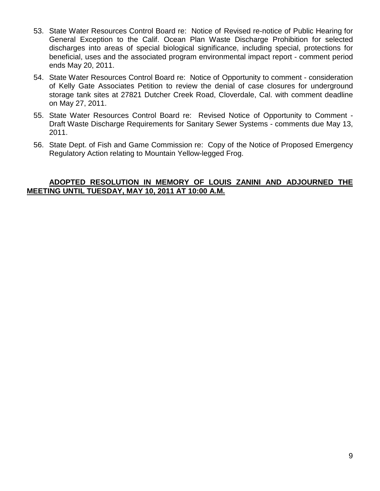- 53. State Water Resources Control Board re: Notice of Revised re-notice of Public Hearing for General Exception to the Calif. Ocean Plan Waste Discharge Prohibition for selected discharges into areas of special biological significance, including special, protections for beneficial, uses and the associated program environmental impact report - comment period ends May 20, 2011.
- 54. State Water Resources Control Board re: Notice of Opportunity to comment consideration of Kelly Gate Associates Petition to review the denial of case closures for underground storage tank sites at 27821 Dutcher Creek Road, Cloverdale, Cal. with comment deadline on May 27, 2011.
- 55. State Water Resources Control Board re: Revised Notice of Opportunity to Comment Draft Waste Discharge Requirements for Sanitary Sewer Systems - comments due May 13, 2011.
- 56. State Dept. of Fish and Game Commission re: Copy of the Notice of Proposed Emergency Regulatory Action relating to Mountain Yellow-legged Frog.

#### **ADOPTED RESOLUTION IN MEMORY OF LOUIS ZANINI AND ADJOURNED THE MEETING UNTIL TUESDAY, MAY 10, 2011 AT 10:00 A.M.**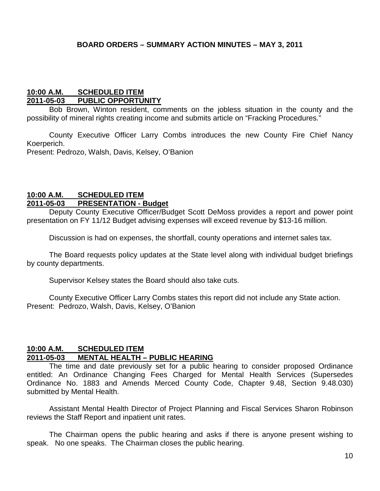#### **10:00 A.M. SCHEDULED ITEM 2011-05-03 PUBLIC OPPORTUNITY**

Bob Brown, Winton resident, comments on the jobless situation in the county and the possibility of mineral rights creating income and submits article on "Fracking Procedures."

County Executive Officer Larry Combs introduces the new County Fire Chief Nancy Koerperich.

Present: Pedrozo, Walsh, Davis, Kelsey, O'Banion

#### **10:00 A.M. SCHEDULED ITEM 2011-05-03 PRESENTATION - Budget**

Deputy County Executive Officer/Budget Scott DeMoss provides a report and power point presentation on FY 11/12 Budget advising expenses will exceed revenue by \$13-16 million.

Discussion is had on expenses, the shortfall, county operations and internet sales tax.

The Board requests policy updates at the State level along with individual budget briefings by county departments.

Supervisor Kelsey states the Board should also take cuts.

County Executive Officer Larry Combs states this report did not include any State action. Present: Pedrozo, Walsh, Davis, Kelsey, O'Banion

#### **10:00 A.M. SCHEDULED ITEM 2011-05-03 MENTAL HEALTH – PUBLIC HEARING**

The time and date previously set for a public hearing to consider proposed Ordinance entitled: An Ordinance Changing Fees Charged for Mental Health Services (Supersedes Ordinance No. 1883 and Amends Merced County Code, Chapter 9.48, Section 9.48.030) submitted by Mental Health.

Assistant Mental Health Director of Project Planning and Fiscal Services Sharon Robinson reviews the Staff Report and inpatient unit rates.

The Chairman opens the public hearing and asks if there is anyone present wishing to speak. No one speaks. The Chairman closes the public hearing.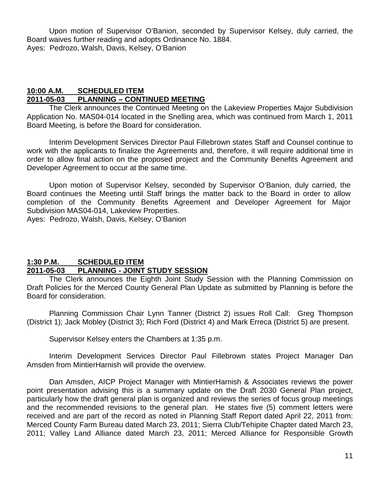Upon motion of Supervisor O'Banion, seconded by Supervisor Kelsey, duly carried, the Board waives further reading and adopts Ordinance No. 1884. Ayes: Pedrozo, Walsh, Davis, Kelsey, O'Banion

#### **10:00 A.M. SCHEDULED ITEM 2011-05-03 PLANNING – CONTINUED MEETING**

The Clerk announces the Continued Meeting on the Lakeview Properties Major Subdivision Application No. MAS04-014 located in the Snelling area, which was continued from March 1, 2011 Board Meeting, is before the Board for consideration.

Interim Development Services Director Paul Fillebrown states Staff and Counsel continue to work with the applicants to finalize the Agreements and, therefore, it will require additional time in order to allow final action on the proposed project and the Community Benefits Agreement and Developer Agreement to occur at the same time.

Upon motion of Supervisor Kelsey, seconded by Supervisor O'Banion, duly carried, the Board continues the Meeting until Staff brings the matter back to the Board in order to allow completion of the Community Benefits Agreement and Developer Agreement for Major Subdivision MAS04-014, Lakeview Properties.

Ayes: Pedrozo, Walsh, Davis, Kelsey, O'Banion

# **1:30 P.M. SCHEDULED ITEM 2011-05-03 PLANNING - JOINT STUDY SESSION**

The Clerk announces the Eighth Joint Study Session with the Planning Commission on Draft Policies for the Merced County General Plan Update as submitted by Planning is before the Board for consideration.

Planning Commission Chair Lynn Tanner (District 2) issues Roll Call: Greg Thompson (District 1); Jack Mobley (District 3); Rich Ford (District 4) and Mark Erreca (District 5) are present.

Supervisor Kelsey enters the Chambers at 1:35 p.m.

Interim Development Services Director Paul Fillebrown states Project Manager Dan Amsden from MintierHarnish will provide the overview.

Dan Amsden, AICP Project Manager with MintierHarnish & Associates reviews the power point presentation advising this is a summary update on the Draft 2030 General Plan project, particularly how the draft general plan is organized and reviews the series of focus group meetings and the recommended revisions to the general plan. He states five (5) comment letters were received and are part of the record as noted in Planning Staff Report dated April 22, 2011 from: Merced County Farm Bureau dated March 23, 2011; Sierra Club/Tehipite Chapter dated March 23, 2011; Valley Land Alliance dated March 23, 2011; Merced Alliance for Responsible Growth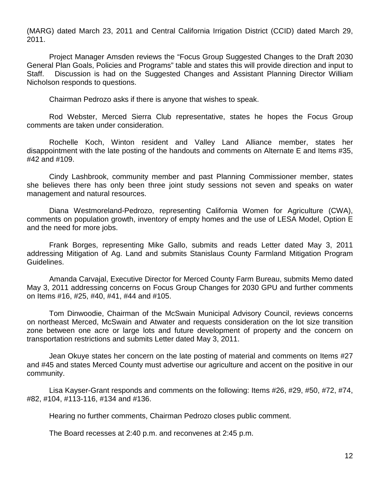(MARG) dated March 23, 2011 and Central California Irrigation District (CCID) dated March 29, 2011.

Project Manager Amsden reviews the "Focus Group Suggested Changes to the Draft 2030 General Plan Goals, Policies and Programs" table and states this will provide direction and input to Staff. Discussion is had on the Suggested Changes and Assistant Planning Director William Nicholson responds to questions.

Chairman Pedrozo asks if there is anyone that wishes to speak.

Rod Webster, Merced Sierra Club representative, states he hopes the Focus Group comments are taken under consideration.

Rochelle Koch, Winton resident and Valley Land Alliance member, states her disappointment with the late posting of the handouts and comments on Alternate E and Items #35, #42 and #109.

Cindy Lashbrook, community member and past Planning Commissioner member, states she believes there has only been three joint study sessions not seven and speaks on water management and natural resources.

Diana Westmoreland-Pedrozo, representing California Women for Agriculture (CWA), comments on population growth, inventory of empty homes and the use of LESA Model, Option E and the need for more jobs.

Frank Borges, representing Mike Gallo, submits and reads Letter dated May 3, 2011 addressing Mitigation of Ag. Land and submits Stanislaus County Farmland Mitigation Program Guidelines.

Amanda Carvajal, Executive Director for Merced County Farm Bureau, submits Memo dated May 3, 2011 addressing concerns on Focus Group Changes for 2030 GPU and further comments on Items #16, #25, #40, #41, #44 and #105.

Tom Dinwoodie, Chairman of the McSwain Municipal Advisory Council, reviews concerns on northeast Merced, McSwain and Atwater and requests consideration on the lot size transition zone between one acre or large lots and future development of property and the concern on transportation restrictions and submits Letter dated May 3, 2011.

Jean Okuye states her concern on the late posting of material and comments on Items #27 and #45 and states Merced County must advertise our agriculture and accent on the positive in our community.

Lisa Kayser-Grant responds and comments on the following: Items #26, #29, #50, #72, #74, #82, #104, #113-116, #134 and #136.

Hearing no further comments, Chairman Pedrozo closes public comment.

The Board recesses at 2:40 p.m. and reconvenes at 2:45 p.m.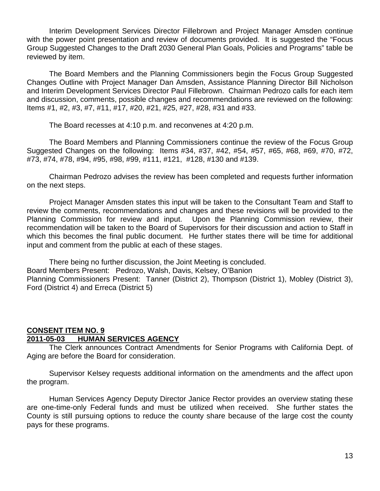Interim Development Services Director Fillebrown and Project Manager Amsden continue with the power point presentation and review of documents provided. It is suggested the "Focus Group Suggested Changes to the Draft 2030 General Plan Goals, Policies and Programs" table be reviewed by item.

The Board Members and the Planning Commissioners begin the Focus Group Suggested Changes Outline with Project Manager Dan Amsden, Assistance Planning Director Bill Nicholson and Interim Development Services Director Paul Fillebrown. Chairman Pedrozo calls for each item and discussion, comments, possible changes and recommendations are reviewed on the following: Items #1, #2, #3, #7, #11, #17, #20, #21, #25, #27, #28, #31 and #33.

The Board recesses at 4:10 p.m. and reconvenes at 4:20 p.m.

The Board Members and Planning Commissioners continue the review of the Focus Group Suggested Changes on the following: Items #34, #37, #42, #54, #57, #65, #68, #69, #70, #72, #73, #74, #78, #94, #95, #98, #99, #111, #121, #128, #130 and #139.

Chairman Pedrozo advises the review has been completed and requests further information on the next steps.

Project Manager Amsden states this input will be taken to the Consultant Team and Staff to review the comments, recommendations and changes and these revisions will be provided to the Planning Commission for review and input. Upon the Planning Commission review, their recommendation will be taken to the Board of Supervisors for their discussion and action to Staff in which this becomes the final public document. He further states there will be time for additional input and comment from the public at each of these stages.

There being no further discussion, the Joint Meeting is concluded.

Board Members Present: Pedrozo, Walsh, Davis, Kelsey, O'Banion

Planning Commissioners Present: Tanner (District 2), Thompson (District 1), Mobley (District 3), Ford (District 4) and Erreca (District 5)

# **CONSENT ITEM NO. 9 2011-05-03 HUMAN SERVICES AGENCY**

The Clerk announces Contract Amendments for Senior Programs with California Dept. of Aging are before the Board for consideration.

Supervisor Kelsey requests additional information on the amendments and the affect upon the program.

Human Services Agency Deputy Director Janice Rector provides an overview stating these are one-time-only Federal funds and must be utilized when received. She further states the County is still pursuing options to reduce the county share because of the large cost the county pays for these programs.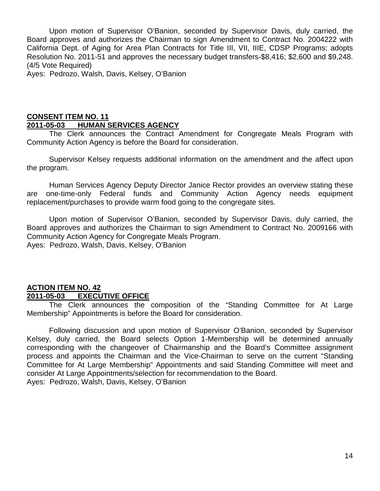Upon motion of Supervisor O'Banion, seconded by Supervisor Davis, duly carried, the Board approves and authorizes the Chairman to sign Amendment to Contract No. 2004222 with California Dept. of Aging for Area Plan Contracts for Title III, VII, IIIE, CDSP Programs; adopts Resolution No. 2011-51 and approves the necessary budget transfers-\$8,416; \$2,600 and \$9,248. (4/5 Vote Required)

Ayes: Pedrozo, Walsh, Davis, Kelsey, O'Banion

# **CONSENT ITEM NO. 11 2011-05-03 HUMAN SERVICES AGENCY**

The Clerk announces the Contract Amendment for Congregate Meals Program with Community Action Agency is before the Board for consideration.

Supervisor Kelsey requests additional information on the amendment and the affect upon the program.

Human Services Agency Deputy Director Janice Rector provides an overview stating these are one-time-only Federal funds and Community Action Agency needs equipment replacement/purchases to provide warm food going to the congregate sites.

Upon motion of Supervisor O'Banion, seconded by Supervisor Davis, duly carried, the Board approves and authorizes the Chairman to sign Amendment to Contract No. 2009166 with Community Action Agency for Congregate Meals Program. Ayes: Pedrozo, Walsh, Davis, Kelsey, O'Banion

# **ACTION ITEM NO. 42 2011-05-03 EXECUTIVE OFFICE**

The Clerk announces the composition of the "Standing Committee for At Large Membership" Appointments is before the Board for consideration.

Following discussion and upon motion of Supervisor O'Banion, seconded by Supervisor Kelsey, duly carried, the Board selects Option 1-Membership will be determined annually corresponding with the changeover of Chairmanship and the Board's Committee assignment process and appoints the Chairman and the Vice-Chairman to serve on the current "Standing Committee for At Large Membership" Appointments and said Standing Committee will meet and consider At Large Appointments/selection for recommendation to the Board.

Ayes: Pedrozo, Walsh, Davis, Kelsey, O'Banion